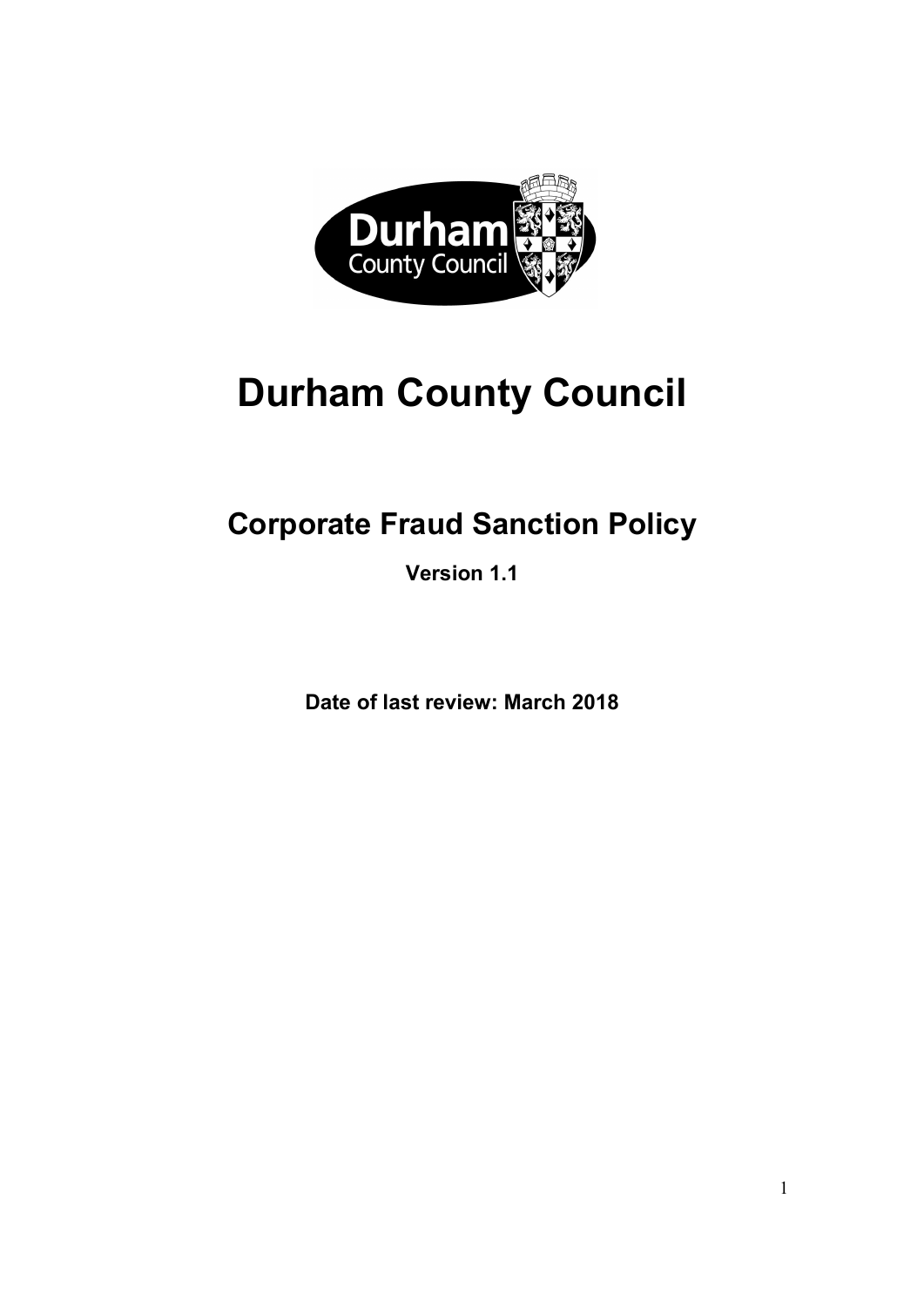

# Durham County Council

# Corporate Fraud Sanction Policy

Version 1.1

Date of last review: March 2018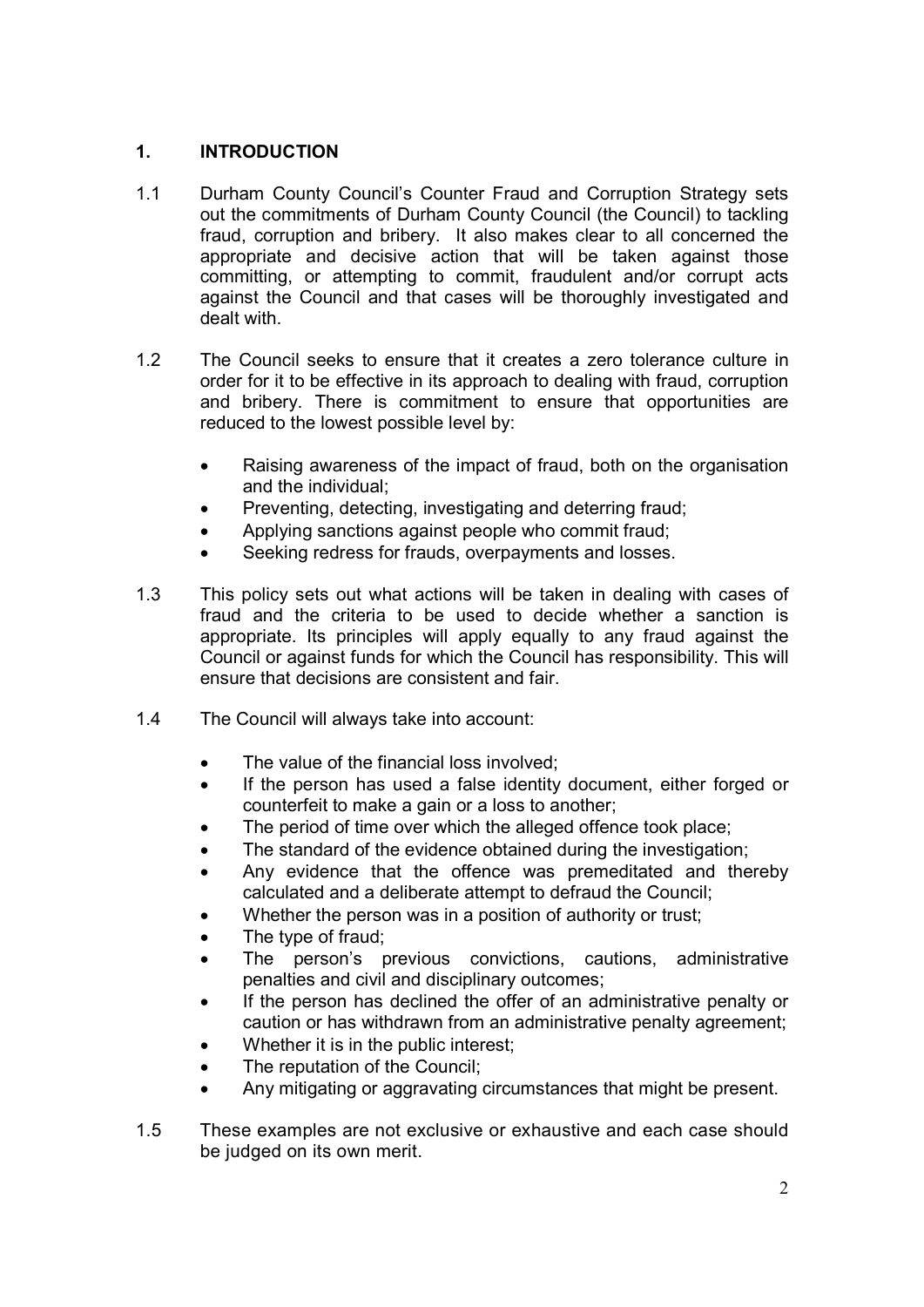## 1. INTRODUCTION

- 1.1 Durham County Council's Counter Fraud and Corruption Strategy sets out the commitments of Durham County Council (the Council) to tackling fraud, corruption and bribery. It also makes clear to all concerned the appropriate and decisive action that will be taken against those committing, or attempting to commit, fraudulent and/or corrupt acts against the Council and that cases will be thoroughly investigated and dealt with.
- 1.2 The Council seeks to ensure that it creates a zero tolerance culture in order for it to be effective in its approach to dealing with fraud, corruption and bribery. There is commitment to ensure that opportunities are reduced to the lowest possible level by:
	- Raising awareness of the impact of fraud, both on the organisation and the individual;
	- Preventing, detecting, investigating and deterring fraud;
	- Applying sanctions against people who commit fraud;
	- Seeking redress for frauds, overpayments and losses.
- 1.3 This policy sets out what actions will be taken in dealing with cases of fraud and the criteria to be used to decide whether a sanction is appropriate. Its principles will apply equally to any fraud against the Council or against funds for which the Council has responsibility. This will ensure that decisions are consistent and fair.
- $1.4$ The Council will always take into account:
	- The value of the financial loss involved:  $\bullet$
	- If the person has used a false identity document, either forged or counterfeit to make a gain or a loss to another;
	- The period of time over which the alleged offence took place;
	- The standard of the evidence obtained during the investigation:
	- Any evidence that the offence was premeditated and thereby calculated and a deliberate attempt to defraud the Council;
	- Whether the person was in a position of authority or trust:
	- The type of fraud;
	- The person's previous convictions, cautions, administrative penalties and civil and disciplinary outcomes;
	- If the person has declined the offer of an administrative penalty or caution or has withdrawn from an administrative penalty agreement;
	- Whether it is in the public interest;
	- The reputation of the Council:
	- Any mitigating or aggravating circumstances that might be present.
- 1.5 These examples are not exclusive or exhaustive and each case should be judged on its own merit.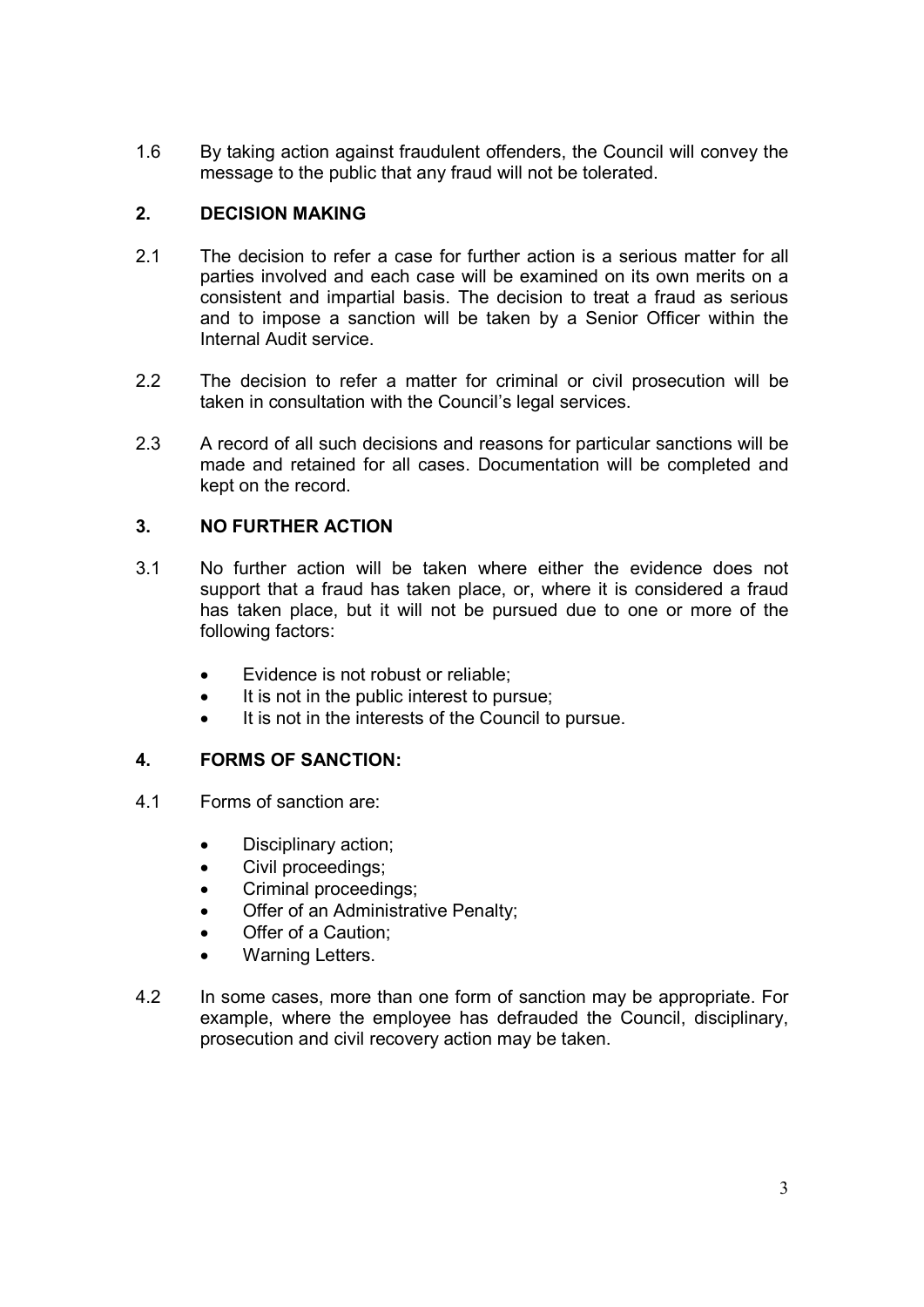1.6 By taking action against fraudulent offenders, the Council will convey the message to the public that any fraud will not be tolerated.

## 2. DECISION MAKING

- 2.1 The decision to refer a case for further action is a serious matter for all parties involved and each case will be examined on its own merits on a consistent and impartial basis. The decision to treat a fraud as serious and to impose a sanction will be taken by a Senior Officer within the Internal Audit service.
- $2.2$ The decision to refer a matter for criminal or civil prosecution will be taken in consultation with the Council's legal services.
- $2.3$ A record of all such decisions and reasons for particular sanctions will be made and retained for all cases. Documentation will be completed and kept on the record.

## 3. NO FURTHER ACTION

- $3.1$ No further action will be taken where either the evidence does not support that a fraud has taken place, or, where it is considered a fraud has taken place, but it will not be pursued due to one or more of the following factors:
	- Evidence is not robust or reliable;
	- It is not in the public interest to pursue;
	- It is not in the interests of the Council to pursue.

#### 4. FORMS OF SANCTION:

- 4.1 Forms of sanction are:
	- Disciplinary action;
	- Civil proceedings;
	- Criminal proceedings;
	- Offer of an Administrative Penalty;
	- Offer of a Caution;
	- Warning Letters.
- 42 In some cases, more than one form of sanction may be appropriate. For example, where the employee has defrauded the Council, disciplinary, prosecution and civil recovery action may be taken.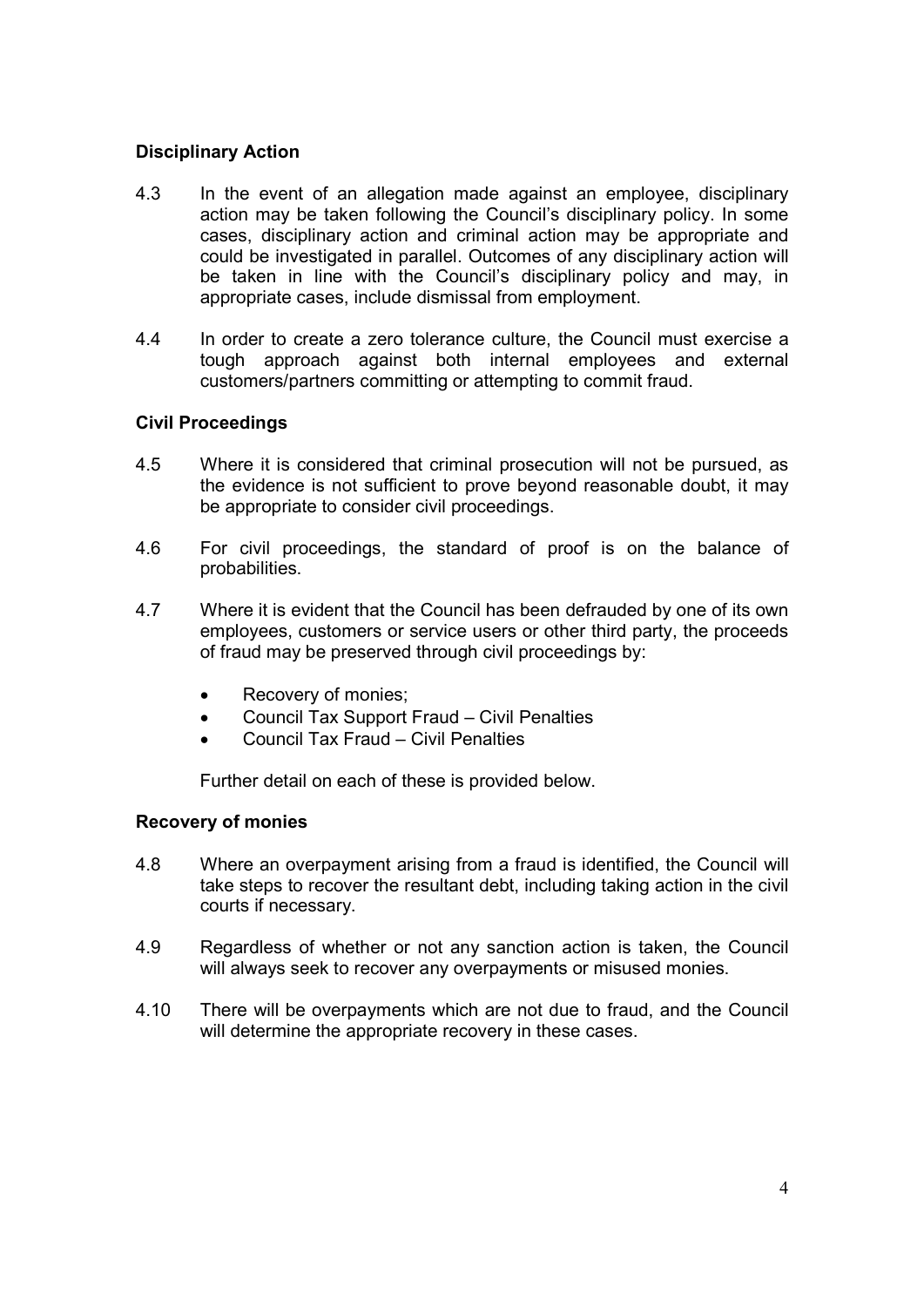#### Disciplinary Action

- 4.3 In the event of an allegation made against an employee, disciplinary action may be taken following the Council's disciplinary policy. In some cases, disciplinary action and criminal action may be appropriate and could be investigated in parallel. Outcomes of any disciplinary action will be taken in line with the Council's disciplinary policy and may, in appropriate cases, include dismissal from employment.
- 44 In order to create a zero tolerance culture, the Council must exercise a tough approach against both internal employees and external customers/partners committing or attempting to commit fraud.

#### Civil Proceedings

- 4.5 Where it is considered that criminal prosecution will not be pursued, as the evidence is not sufficient to prove beyond reasonable doubt, it may be appropriate to consider civil proceedings.
- $4.6$ For civil proceedings, the standard of proof is on the balance of probabilities.
- 47 Where it is evident that the Council has been defrauded by one of its own employees, customers or service users or other third party, the proceeds of fraud may be preserved through civil proceedings by:
	- Recovery of monies;
	- Council Tax Support Fraud Civil Penalties
	- Council Tax Fraud Civil Penalties

Further detail on each of these is provided below.

#### Recovery of monies

- 4.8 Where an overpayment arising from a fraud is identified, the Council will take steps to recover the resultant debt, including taking action in the civil courts if necessary.
- 4.9 Regardless of whether or not any sanction action is taken, the Council will always seek to recover any overpayments or misused monies.
- 4.10 There will be overpayments which are not due to fraud, and the Council will determine the appropriate recovery in these cases.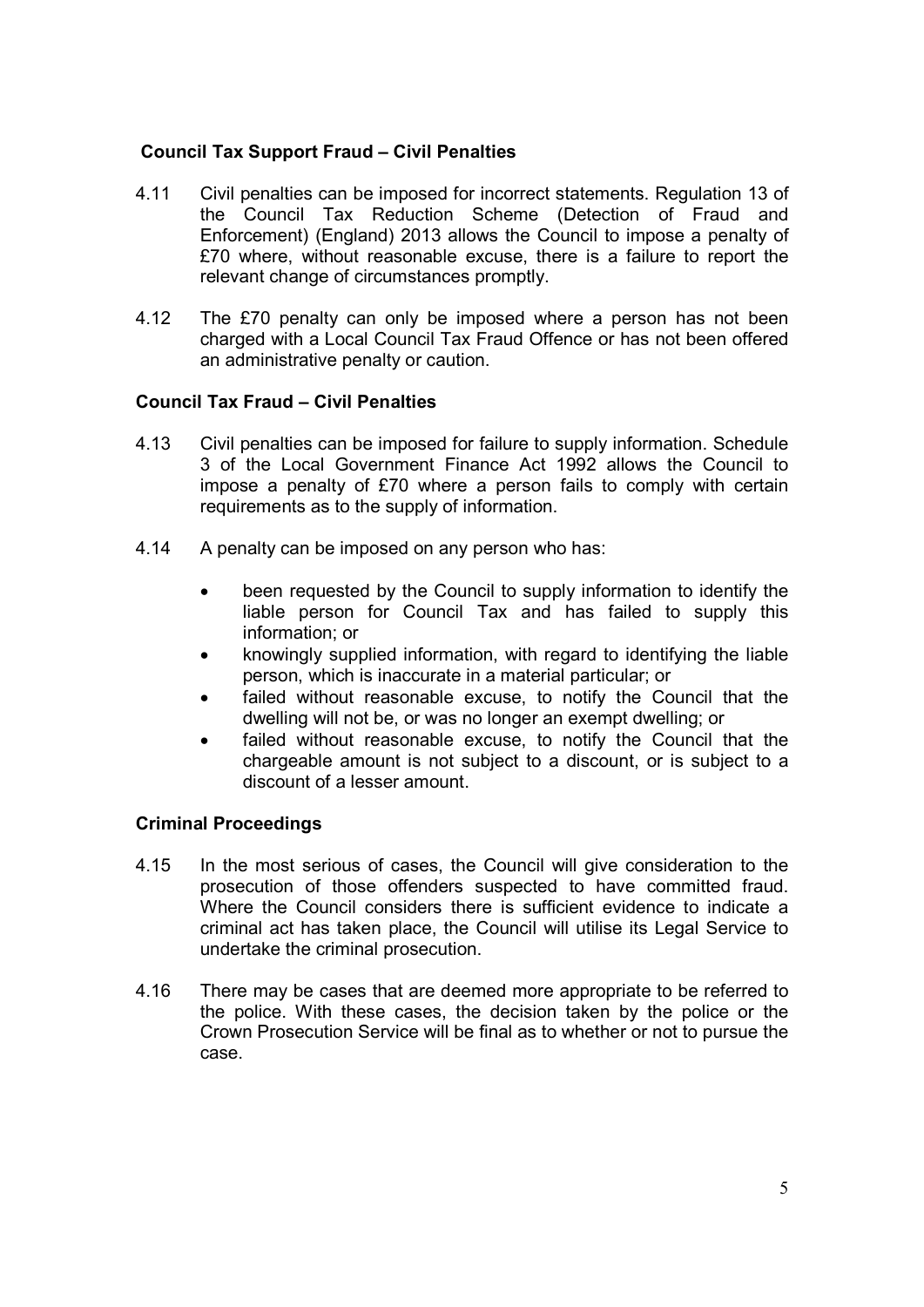#### Council Tax Support Fraud – Civil Penalties

- 4.11 Civil penalties can be imposed for incorrect statements. Regulation 13 of the Council Tax Reduction Scheme (Detection of Fraud and Enforcement) (England) 2013 allows the Council to impose a penalty of £70 where, without reasonable excuse, there is a failure to report the relevant change of circumstances promptly. 4.11
- 4.12 The £70 penalty can only be imposed where a person has not been charged with a Local Council Tax Fraud Offence or has not been offered an administrative penalty or caution.

#### Council Tax Fraud – Civil Penalties

- 4.13 Civil penalties can be imposed for failure to supply information. Schedule 3 of the Local Government Finance Act 1992 allows the Council to impose a penalty of £70 where a person fails to comply with certain requirements as to the supply of information.
- 4.14 A penalty can be imposed on any person who has:
	- been requested by the Council to supply information to identify the liable person for Council Tax and has failed to supply this information; or
	- knowingly supplied information, with regard to identifying the liable person, which is inaccurate in a material particular; or
	- failed without reasonable excuse, to notify the Council that the dwelling will not be, or was no longer an exempt dwelling; or
	- failed without reasonable excuse, to notify the Council that the chargeable amount is not subject to a discount, or is subject to a discount of a lesser amount.

#### Criminal Proceedings

- 4.15 In the most serious of cases, the Council will give consideration to the prosecution of those offenders suspected to have committed fraud. Where the Council considers there is sufficient evidence to indicate a criminal act has taken place, the Council will utilise its Legal Service to undertake the criminal prosecution.
- 4.16 There may be cases that are deemed more appropriate to be referred to the police. With these cases, the decision taken by the police or the Crown Prosecution Service will be final as to whether or not to pursue the case.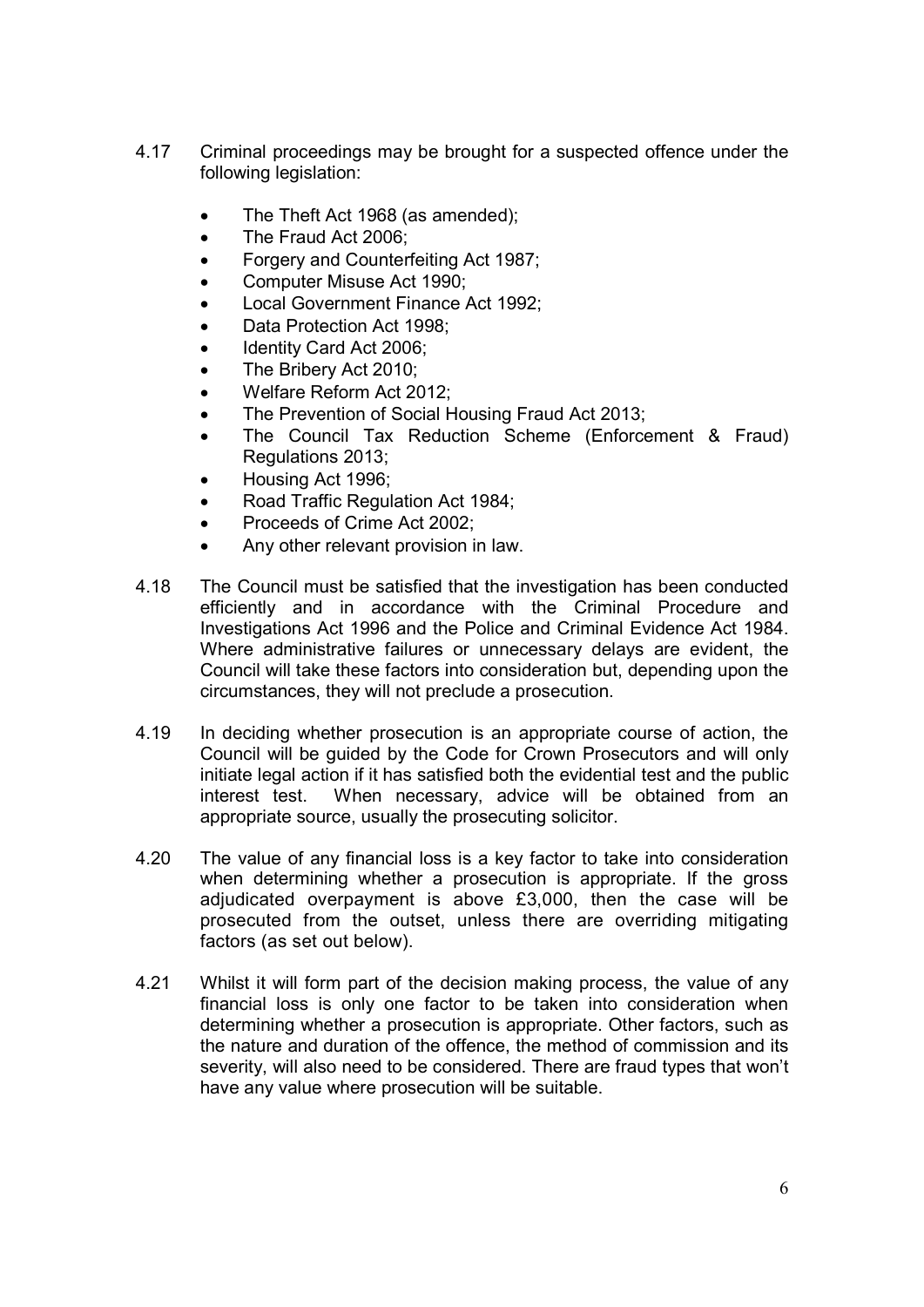- 4.17 Criminal proceedings may be brought for a suspected offence under the following legislation:
	- The Theft Act 1968 (as amended);
	- The Fraud Act 2006;
	- Forgery and Counterfeiting Act 1987;
	- Computer Misuse Act 1990;
	- Local Government Finance Act 1992;
	- Data Protection Act 1998;
	- Identity Card Act 2006;
	- The Bribery Act 2010:
	- Welfare Reform Act 2012;
	- The Prevention of Social Housing Fraud Act 2013:
	- The Council Tax Reduction Scheme (Enforcement & Fraud) Regulations 2013;
	- Housing Act 1996;
	- Road Traffic Regulation Act 1984;
	- Proceeds of Crime Act 2002;
	- Any other relevant provision in law.
- 4.18 4.18 The Council must be satisfied that the investigation has been conducted efficiently and in accordance with the Criminal Procedure and Investigations Act 1996 and the Police and Criminal Evidence Act 1984. Where administrative failures or unnecessary delays are evident, the Council will take these factors into consideration but, depending upon the circumstances, they will not preclude a prosecution.
- 4 1 9 In deciding whether prosecution is an appropriate course of action, the Council will be guided by the Code for Crown Prosecutors and will only initiate legal action if it has satisfied both the evidential test and the public interest test. When necessary, advice will be obtained from an appropriate source, usually the prosecuting solicitor.
- 4.20 The value of any financial loss is a key factor to take into consideration when determining whether a prosecution is appropriate. If the gross adjudicated overpayment is above £3,000, then the case will be prosecuted from the outset, unless there are overriding mitigating factors (as set out below).
- $4.21$ Whilst it will form part of the decision making process, the value of any financial loss is only one factor to be taken into consideration when determining whether a prosecution is appropriate. Other factors, such as the nature and duration of the offence, the method of commission and its severity, will also need to be considered. There are fraud types that won't have any value where prosecution will be suitable.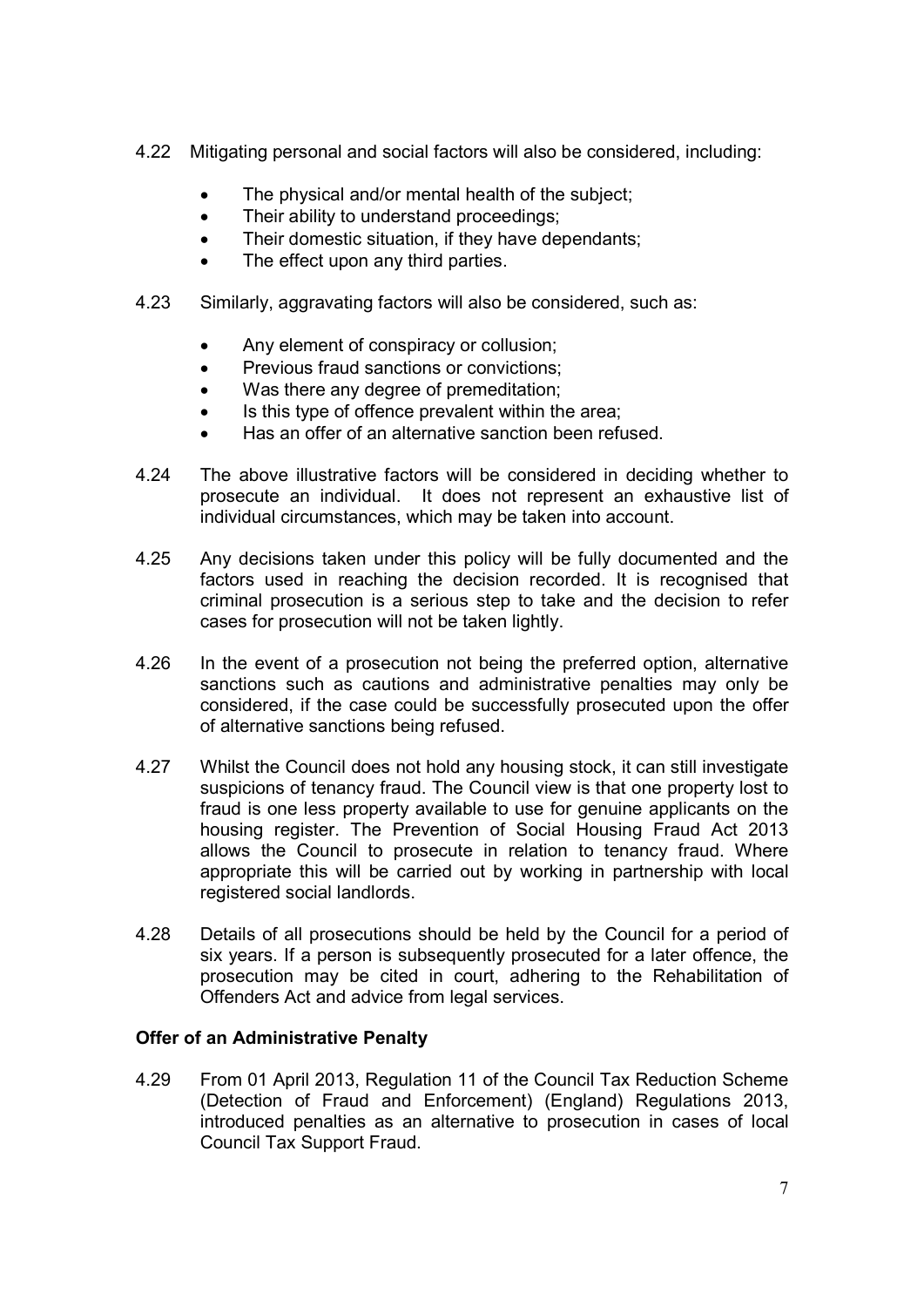- 4.22 Mitigating personal and social factors will also be considered, including:
	- The physical and/or mental health of the subject;
	- Their ability to understand proceedings:
	- Their domestic situation, if they have dependants;
	- The effect upon any third parties.
- 4 2 3 Similarly, aggravating factors will also be considered, such as:
	- Any element of conspiracy or collusion;
	- Previous fraud sanctions or convictions:
	- Was there any degree of premeditation:
	- Is this type of offence prevalent within the area;
	- Has an offer of an alternative sanction been refused.
- 4.24 The above illustrative factors will be considered in deciding whether to prosecute an individual. It does not represent an exhaustive list of individual circumstances, which may be taken into account.
- 4.25 Any decisions taken under this policy will be fully documented and the factors used in reaching the decision recorded. It is recognised that criminal prosecution is a serious step to take and the decision to refer cases for prosecution will not be taken lightly.
- 4.26 In the event of a prosecution not being the preferred option, alternative sanctions such as cautions and administrative penalties may only be considered, if the case could be successfully prosecuted upon the offer of alternative sanctions being refused.
- 4.27 Whilst the Council does not hold any housing stock, it can still investigate suspicions of tenancy fraud. The Council view is that one property lost to fraud is one less property available to use for genuine applicants on the housing register. The Prevention of Social Housing Fraud Act 2013 allows the Council to prosecute in relation to tenancy fraud. Where appropriate this will be carried out by working in partnership with local registered social landlords.
- 4.28 Details of all prosecutions should be held by the Council for a period of six years. If a person is subsequently prosecuted for a later offence, the prosecution may be cited in court, adhering to the Rehabilitation of Offenders Act and advice from legal services.

#### Offer of an Administrative Penalty

4.29 4.29 From 01 April 2013, Regulation 11 of the Council Tax Reduction Scheme (Detection of Fraud and Enforcement) (England) Regulations 2013, introduced penalties as an alternative to prosecution in cases of local Council Tax Support Fraud.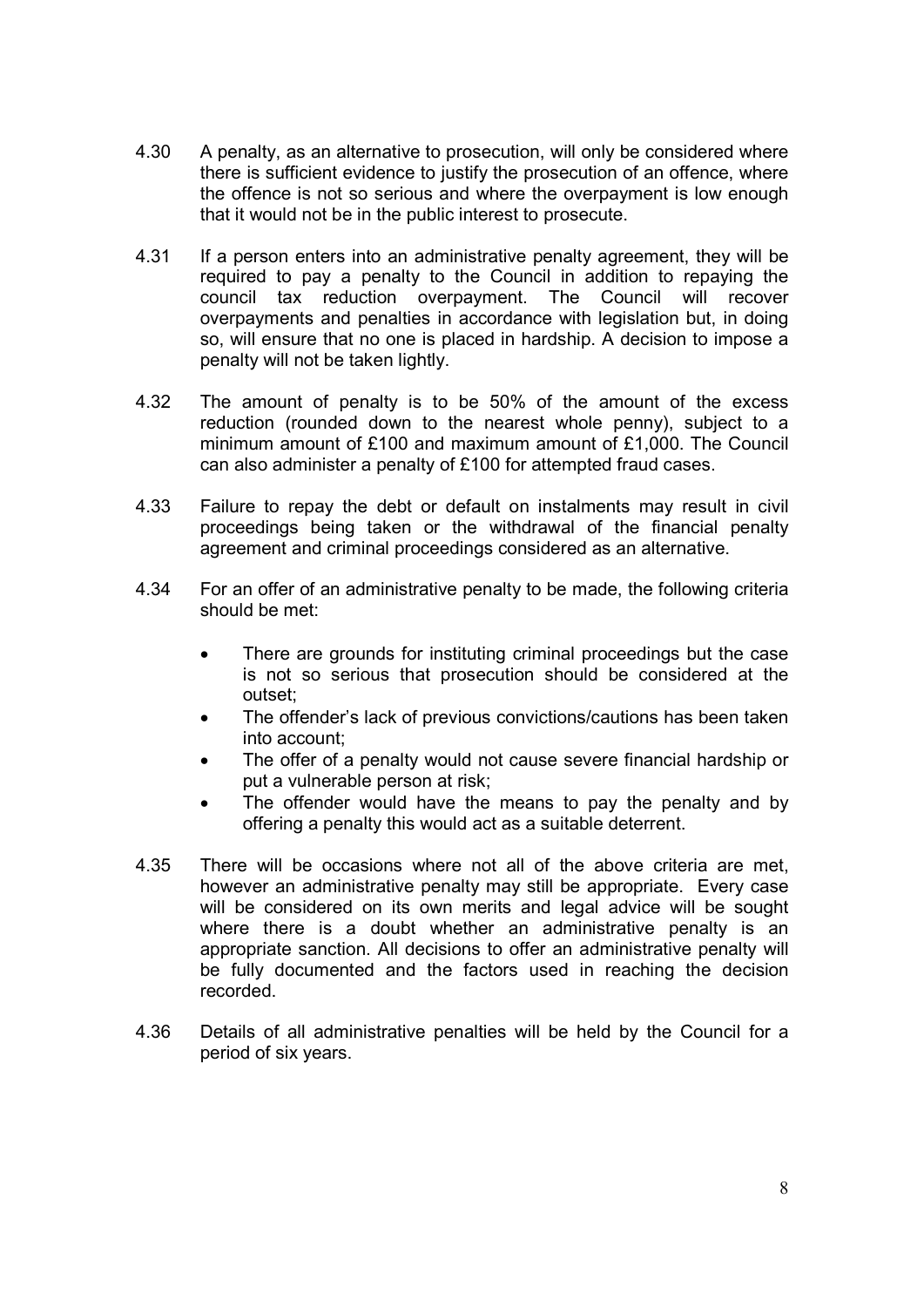- 4.30 A penalty, as an alternative to prosecution, will only be considered where there is sufficient evidence to justify the prosecution of an offence, where the offence is not so serious and where the overpayment is low enough that it would not be in the public interest to prosecute.
- 4.31 If a person enters into an administrative penalty agreement, they will be required to pay a penalty to the Council in addition to repaying the council tax reduction overpayment. The Council will recover overpayments and penalties in accordance with legislation but, in doing so, will ensure that no one is placed in hardship. A decision to impose a penalty will not be taken lightly.
- 4.32 The amount of penalty is to be 50% of the amount of the excess reduction (rounded down to the nearest whole penny), subject to a minimum amount of £100 and maximum amount of £1,000. The Council can also administer a penalty of £100 for attempted fraud cases.
- 4.33 Failure to repay the debt or default on instalments may result in civil proceedings being taken or the withdrawal of the financial penalty agreement and criminal proceedings considered as an alternative.
- 4.34 For an offer of an administrative penalty to be made, the following criteria should be met:
	- There are grounds for instituting criminal proceedings but the case is not so serious that prosecution should be considered at the outset;
	- The offender's lack of previous convictions/cautions has been taken into account;
	- The offer of a penalty would not cause severe financial hardship or put a vulnerable person at risk;
	- The offender would have the means to pay the penalty and by offering a penalty this would act as a suitable deterrent.
- 4.35 There will be occasions where not all of the above criteria are met, however an administrative penalty may still be appropriate. Every case will be considered on its own merits and legal advice will be sought where there is a doubt whether an administrative penalty is an appropriate sanction. All decisions to offer an administrative penalty will be fully documented and the factors used in reaching the decision recorded.
- 4.36 Details of all administrative penalties will be held by the Council for a period of six years.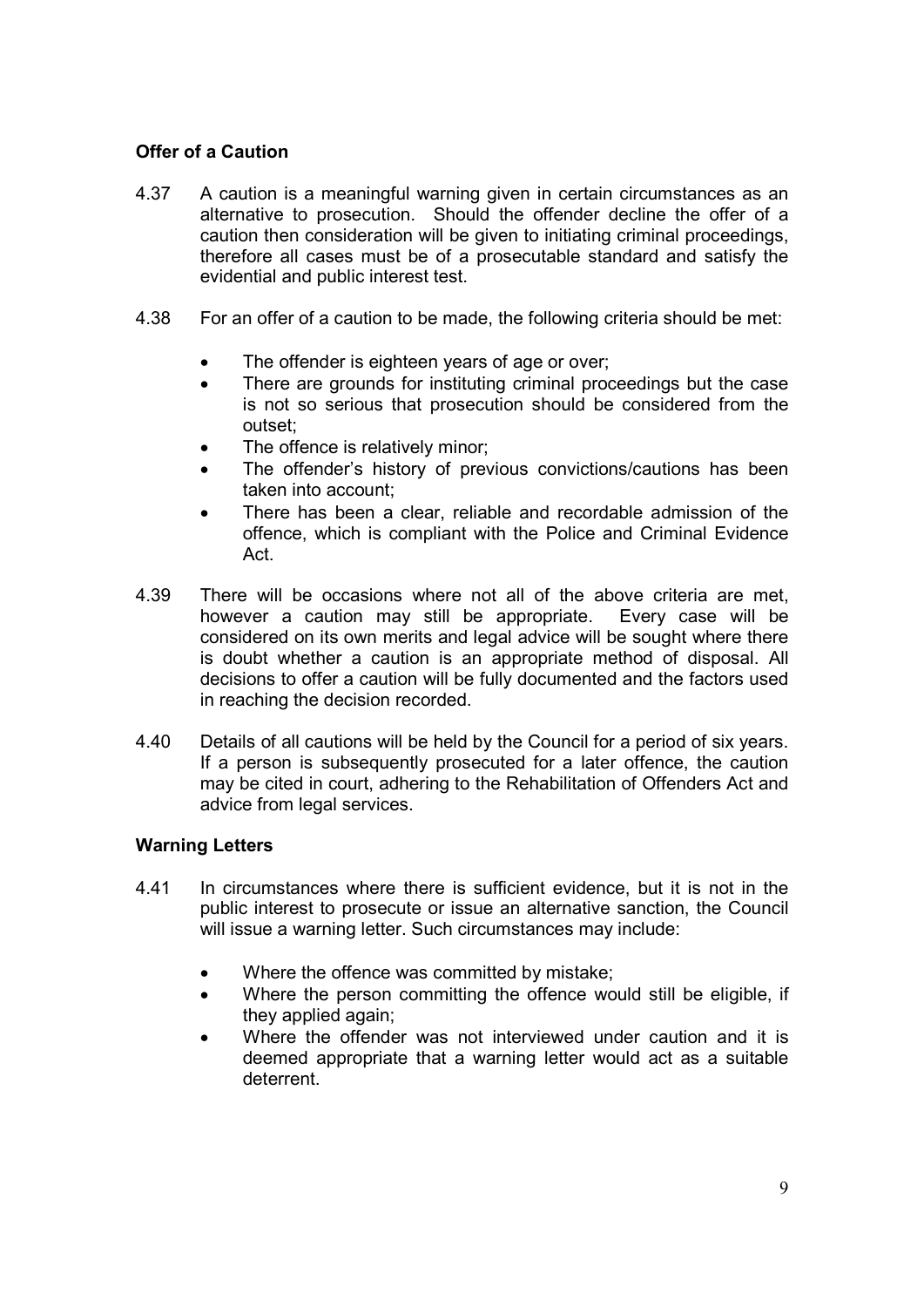#### Offer of a Caution

- 4.37 A caution is a meaningful warning given in certain circumstances as an alternative to prosecution. Should the offender decline the offer of a caution then consideration will be given to initiating criminal proceedings, therefore all cases must be of a prosecutable standard and satisfy the evidential and public interest test.
- 4 38 For an offer of a caution to be made, the following criteria should be met:
	- The offender is eighteen years of age or over;
	- There are grounds for instituting criminal proceedings but the case is not so serious that prosecution should be considered from the outset;
	- The offence is relatively minor;
	- The offender's history of previous convictions/cautions has been taken into account;
	- There has been a clear, reliable and recordable admission of the offence, which is compliant with the Police and Criminal Evidence Act.
- 4.39 There will be occasions where not all of the above criteria are met, however a caution may still be appropriate. Every case will be considered on its own merits and legal advice will be sought where there is doubt whether a caution is an appropriate method of disposal. All decisions to offer a caution will be fully documented and the factors used in reaching the decision recorded.
- 4.40 Details of all cautions will be held by the Council for a period of six years. If a person is subsequently prosecuted for a later offence, the caution may be cited in court, adhering to the Rehabilitation of Offenders Act and advice from legal services.

#### Warning Letters

- 4.41 In circumstances where there is sufficient evidence, but it is not in the public interest to prosecute or issue an alternative sanction, the Council will issue a warning letter. Such circumstances may include:
	- Where the offence was committed by mistake;
	- Where the person committing the offence would still be eligible, if they applied again;
	- Where the offender was not interviewed under caution and it is deemed appropriate that a warning letter would act as a suitable deterrent.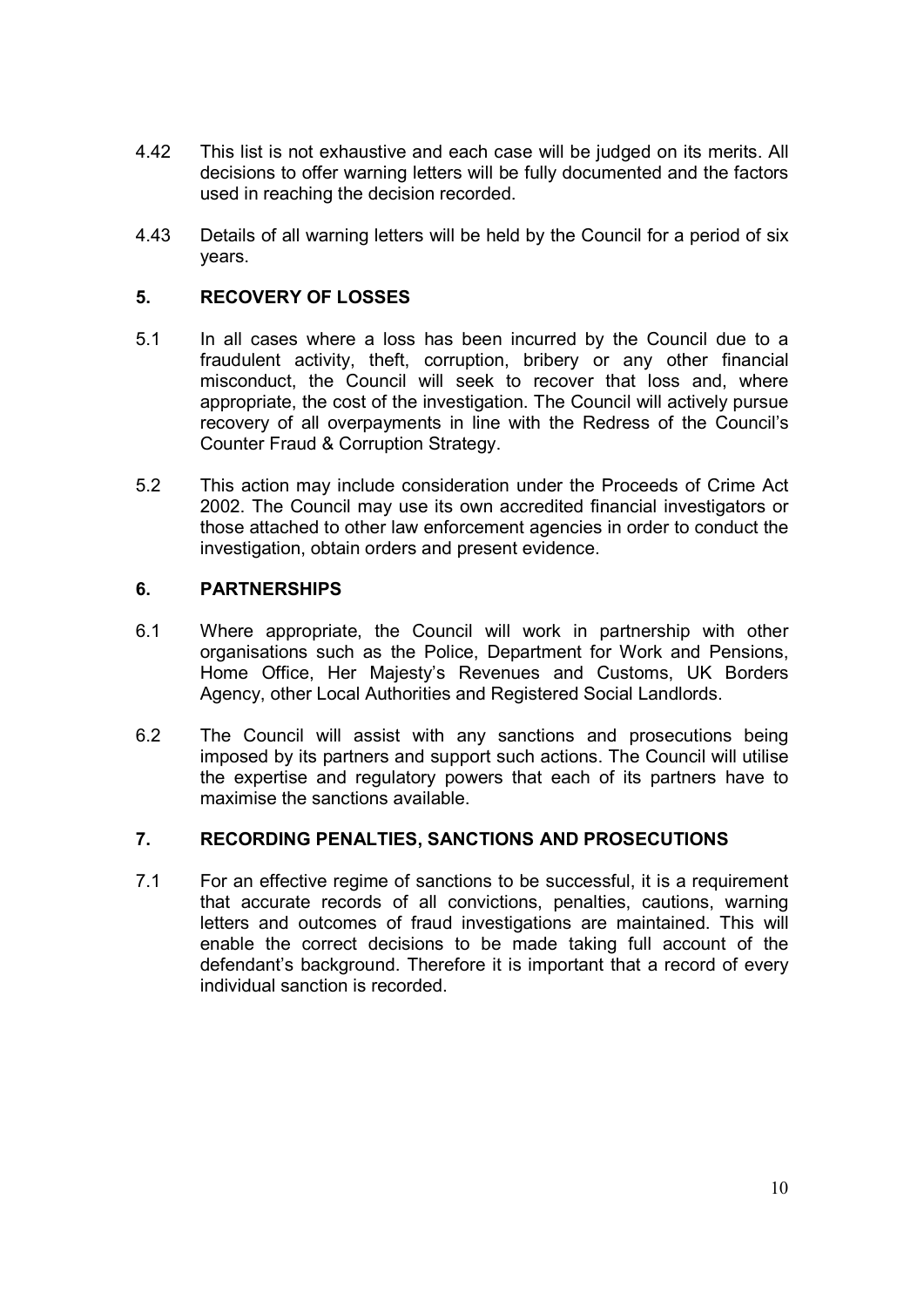- 4.42 This list is not exhaustive and each case will be judged on its merits. All decisions to offer warning letters will be fully documented and the factors used in reaching the decision recorded.
- 4.43 Details of all warning letters will be held by the Council for a period of six years.

#### 5. RECOVERY OF LOSSES

- $5<sub>1</sub>$ In all cases where a loss has been incurred by the Council due to a fraudulent activity, theft, corruption, bribery or any other financial misconduct, the Council will seek to recover that loss and, where appropriate, the cost of the investigation. The Council will actively pursue recovery of all overpayments in line with the Redress of the Council's Counter Fraud & Corruption Strategy.
- $5.2$ This action may include consideration under the Proceeds of Crime Act 2002. The Council may use its own accredited financial investigators or those attached to other law enforcement agencies in order to conduct the investigation, obtain orders and present evidence.

## 6. PARTNERSHIPS

- $6.1$ Where appropriate, the Council will work in partnership with other organisations such as the Police, Department for Work and Pensions, Home Office, Her Majesty's Revenues and Customs, UK Borders Agency, other Local Authorities and Registered Social Landlords.
- 6.2 The Council will assist with any sanctions and prosecutions being imposed by its partners and support such actions. The Council will utilise the expertise and regulatory powers that each of its partners have to maximise the sanctions available.

#### 7. RECORDING PENALTIES, SANCTIONS AND PROSECUTIONS

 $7<sub>1</sub>$ For an effective regime of sanctions to be successful, it is a requirement that accurate records of all convictions, penalties, cautions, warning letters and outcomes of fraud investigations are maintained. This will enable the correct decisions to be made taking full account of the defendant's background. Therefore it is important that a record of every individual sanction is recorded.